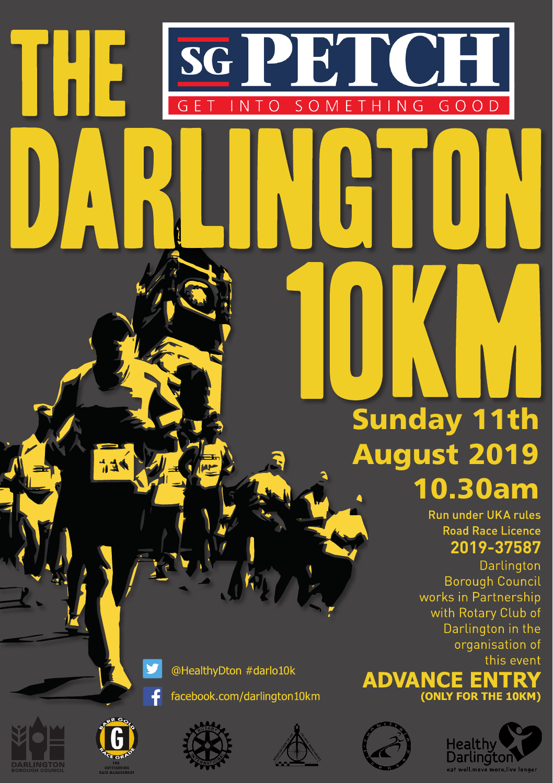# **PET** OH. **GET** INTO SOMETHING GOOD Sunday 11th

# August 2019 10.30am

Run under UKA rules **Road Race Licence 2019-37587**

Darlington **Borough Council** works in Partnership with Rotary Club of Darlington in the organisation of this event





@HealthyDton #darlo10k









**SG** 

Н



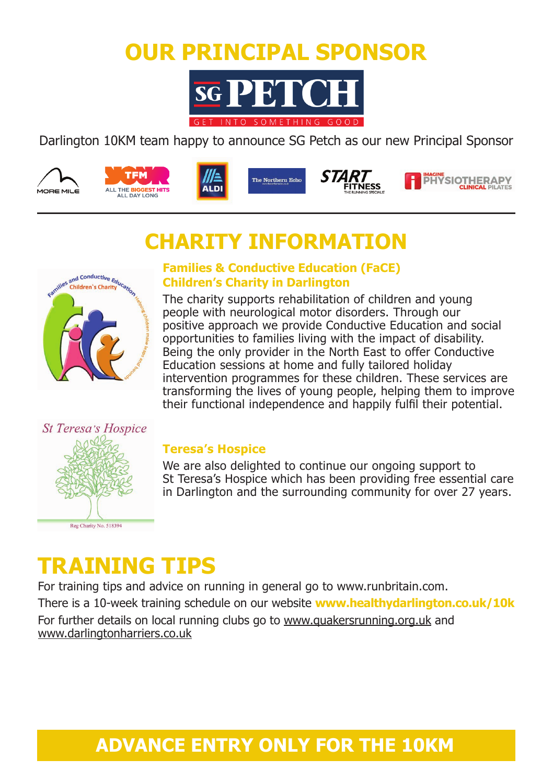## **OUR PRINCIPAL SPONSOR**



#### Darlington 10KM team happy to announce SG Petch as our new Principal Sponsor













## **CHARITY INFORMATION**



#### **Families & Conductive Education (FaCE) Children's Charity in Darlington**

The charity supports rehabilitation of children and young people with neurological motor disorders. Through our positive approach we provide Conductive Education and social opportunities to families living with the impact of disability. Being the only provider in the North East to offer Conductive Education sessions at home and fully tailored holiday intervention programmes for these children. These services are transforming the lives of young people, helping them to improve their functional independence and happily fulfil their potential.

**FITNESS** 



#### **Teresa's Hospice**

We are also delighted to continue our ongoing support to St Teresa's Hospice which has been providing free essential care in Darlington and the surrounding community for over 27 years.

## **TRAINING TIPS**

For training tips and advice on running in general go to www.runbritain.com. There is a 10-week training schedule on our website **www.healthydarlington.co.uk/10k** For further details on local running clubs go to www.quakersrunning.org.uk and www.darlingtonharriers.co.uk

## **ADVANCE ENTRY ONLY FOR THE 10KM**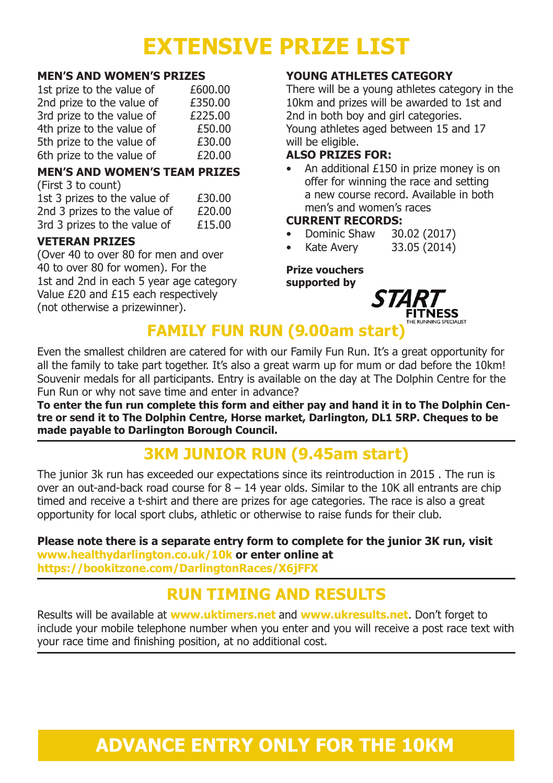## **EXTENSIVE PRIZE LIST**

#### **MEN'S AND WOMEN'S PRIZES**

| 1st prize to the value of | £600.00 |
|---------------------------|---------|
| 2nd prize to the value of | £350.00 |
| 3rd prize to the value of | £225.00 |
| 4th prize to the value of | £50.00  |
| 5th prize to the value of | £30.00  |
| 6th prize to the value of | £20.00  |

#### **MEN'S AND WOMEN'S TEAM PRIZES**

| (First 3 to count)           |        |
|------------------------------|--------|
| 1st 3 prizes to the value of | £30.00 |
| 2nd 3 prizes to the value of | £20.00 |
| 3rd 3 prizes to the value of | £15.00 |

#### **VETERAN PRIZES**

(Over 40 to over 80 for men and over 40 to over 80 for women). For the 1st and 2nd in each 5 year age category Value £20 and £15 each respectively (not otherwise a prizewinner).

#### **YOUNG ATHLETES CATEGORY**

There will be a young athletes category in the 10km and prizes will be awarded to 1st and 2nd in both boy and girl categories. Young athletes aged between 15 and 17 will be eligible.

#### **ALSO PRIZES FOR:**

An additional £150 in prize money is on offer for winning the race and setting a new course record. Available in both men's and women's races

#### **CURRENT RECORDS:**

- Dominic Shaw 30.02 (2017)
- Kate Avery 33.05 (2014)

#### **Prize vouchers supported by**



## **FAMILY FUN RUN (9.00am start)**

Even the smallest children are catered for with our Family Fun Run. It's a great opportunity for all the family to take part together. It's also a great warm up for mum or dad before the 10km! Souvenir medals for all participants. Entry is available on the day at The Dolphin Centre for the Fun Run or why not save time and enter in advance?

**To enter the fun run complete this form and either pay and hand it in to The Dolphin Centre or send it to The Dolphin Centre, Horse market, Darlington, DL1 5RP. Cheques to be made payable to Darlington Borough Council.**

### **3KM JUNIOR RUN (9.45am start)**

The junior 3k run has exceeded our expectations since its reintroduction in 2015 . The run is over an out-and-back road course for  $8 - 14$  year olds. Similar to the 10K all entrants are chip timed and receive a t-shirt and there are prizes for age categories. The race is also a great opportunity for local sport clubs, athletic or otherwise to raise funds for their club.

**Please note there is a separate entry form to complete for the junior 3K run, visit www.healthydarlington.co.uk/10k or enter online at https://bookitzone.com/DarlingtonRaces/X6jFFX**

## **RUN TIMING AND RESULTS**

Results will be available at **www.uktimers.net** and **www.ukresults.net**. Don't forget to include your mobile telephone number when you enter and you will receive a post race text with your race time and finishing position, at no additional cost.

## **ADVANCE ENTRY ONLY FOR THE 10KM**